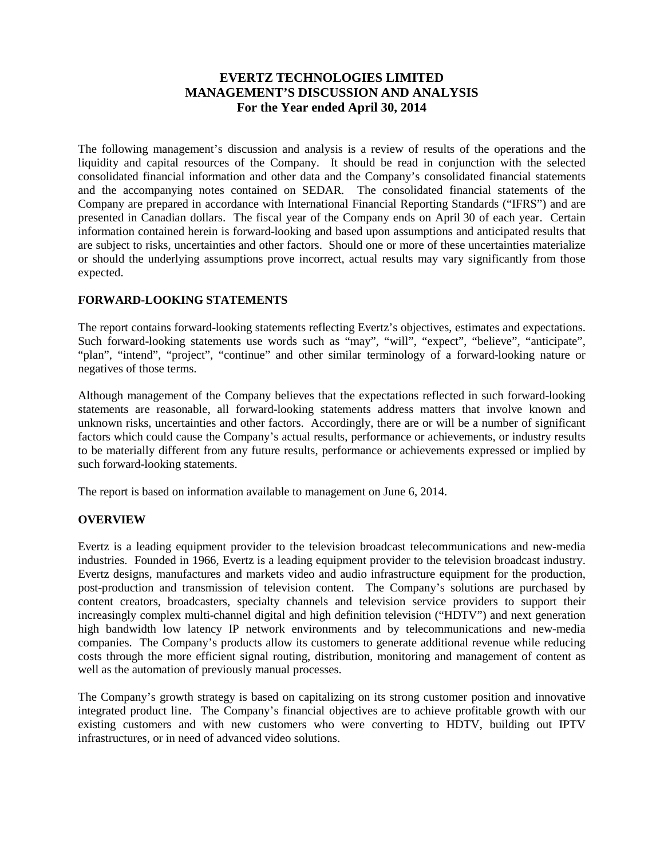# **EVERTZ TECHNOLOGIES LIMITED MANAGEMENT'S DISCUSSION AND ANALYSIS For the Year ended April 30, 2014**

The following management's discussion and analysis is a review of results of the operations and the liquidity and capital resources of the Company. It should be read in conjunction with the selected consolidated financial information and other data and the Company's consolidated financial statements and the accompanying notes contained on SEDAR. The consolidated financial statements of the Company are prepared in accordance with International Financial Reporting Standards ("IFRS") and are presented in Canadian dollars. The fiscal year of the Company ends on April 30 of each year. Certain information contained herein is forward-looking and based upon assumptions and anticipated results that are subject to risks, uncertainties and other factors. Should one or more of these uncertainties materialize or should the underlying assumptions prove incorrect, actual results may vary significantly from those expected.

# **FORWARD-LOOKING STATEMENTS**

The report contains forward-looking statements reflecting Evertz's objectives, estimates and expectations. Such forward-looking statements use words such as "may", "will", "expect", "believe", "anticipate", "plan", "intend", "project", "continue" and other similar terminology of a forward-looking nature or negatives of those terms.

Although management of the Company believes that the expectations reflected in such forward-looking statements are reasonable, all forward-looking statements address matters that involve known and unknown risks, uncertainties and other factors. Accordingly, there are or will be a number of significant factors which could cause the Company's actual results, performance or achievements, or industry results to be materially different from any future results, performance or achievements expressed or implied by such forward-looking statements.

The report is based on information available to management on June 6, 2014.

# **OVERVIEW**

Evertz is a leading equipment provider to the television broadcast telecommunications and new-media industries. Founded in 1966, Evertz is a leading equipment provider to the television broadcast industry. Evertz designs, manufactures and markets video and audio infrastructure equipment for the production, post-production and transmission of television content. The Company's solutions are purchased by content creators, broadcasters, specialty channels and television service providers to support their increasingly complex multi-channel digital and high definition television ("HDTV") and next generation high bandwidth low latency IP network environments and by telecommunications and new-media companies. The Company's products allow its customers to generate additional revenue while reducing costs through the more efficient signal routing, distribution, monitoring and management of content as well as the automation of previously manual processes.

The Company's growth strategy is based on capitalizing on its strong customer position and innovative integrated product line. The Company's financial objectives are to achieve profitable growth with our existing customers and with new customers who were converting to HDTV, building out IPTV infrastructures, or in need of advanced video solutions.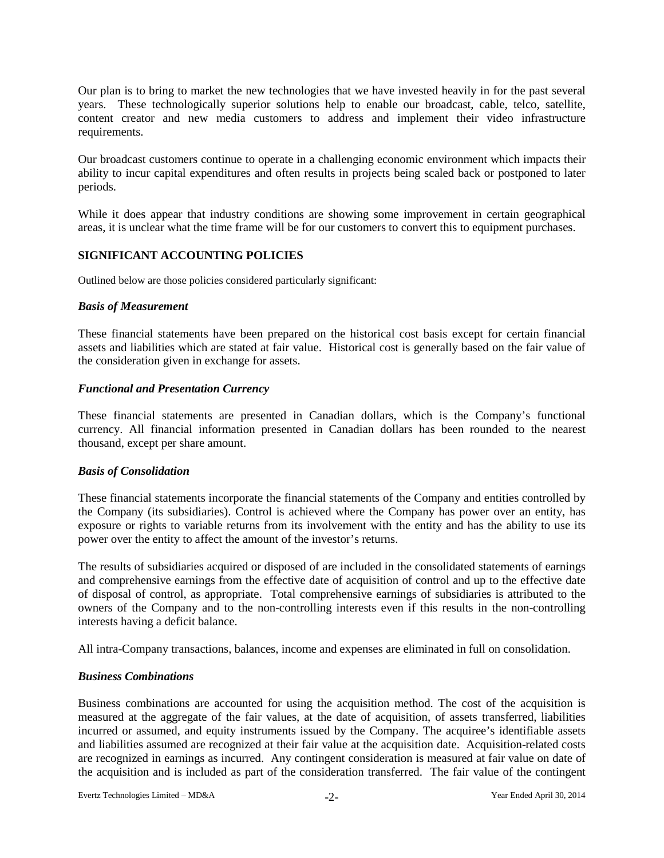Our plan is to bring to market the new technologies that we have invested heavily in for the past several years. These technologically superior solutions help to enable our broadcast, cable, telco, satellite, content creator and new media customers to address and implement their video infrastructure requirements.

Our broadcast customers continue to operate in a challenging economic environment which impacts their ability to incur capital expenditures and often results in projects being scaled back or postponed to later periods.

While it does appear that industry conditions are showing some improvement in certain geographical areas, it is unclear what the time frame will be for our customers to convert this to equipment purchases.

#### **SIGNIFICANT ACCOUNTING POLICIES**

Outlined below are those policies considered particularly significant:

#### *Basis of Measurement*

These financial statements have been prepared on the historical cost basis except for certain financial assets and liabilities which are stated at fair value. Historical cost is generally based on the fair value of the consideration given in exchange for assets.

## *Functional and Presentation Currency*

These financial statements are presented in Canadian dollars, which is the Company's functional currency. All financial information presented in Canadian dollars has been rounded to the nearest thousand, except per share amount.

# *Basis of Consolidation*

These financial statements incorporate the financial statements of the Company and entities controlled by the Company (its subsidiaries). Control is achieved where the Company has power over an entity, has exposure or rights to variable returns from its involvement with the entity and has the ability to use its power over the entity to affect the amount of the investor's returns.

The results of subsidiaries acquired or disposed of are included in the consolidated statements of earnings and comprehensive earnings from the effective date of acquisition of control and up to the effective date of disposal of control, as appropriate. Total comprehensive earnings of subsidiaries is attributed to the owners of the Company and to the non-controlling interests even if this results in the non-controlling interests having a deficit balance.

All intra-Company transactions, balances, income and expenses are eliminated in full on consolidation.

# *Business Combinations*

Business combinations are accounted for using the acquisition method. The cost of the acquisition is measured at the aggregate of the fair values, at the date of acquisition, of assets transferred, liabilities incurred or assumed, and equity instruments issued by the Company. The acquiree's identifiable assets and liabilities assumed are recognized at their fair value at the acquisition date. Acquisition-related costs are recognized in earnings as incurred. Any contingent consideration is measured at fair value on date of the acquisition and is included as part of the consideration transferred. The fair value of the contingent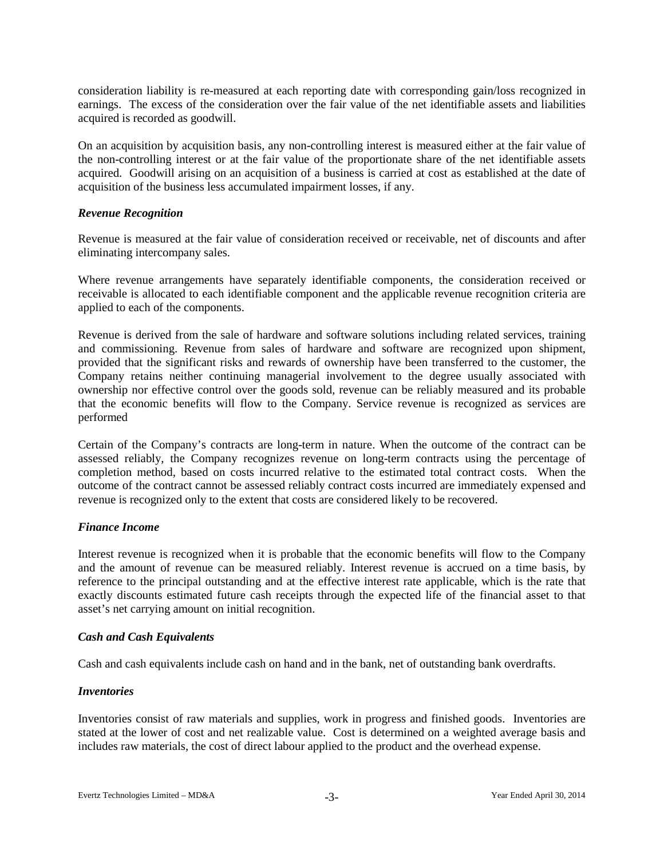consideration liability is re-measured at each reporting date with corresponding gain/loss recognized in earnings. The excess of the consideration over the fair value of the net identifiable assets and liabilities acquired is recorded as goodwill.

On an acquisition by acquisition basis, any non-controlling interest is measured either at the fair value of the non-controlling interest or at the fair value of the proportionate share of the net identifiable assets acquired. Goodwill arising on an acquisition of a business is carried at cost as established at the date of acquisition of the business less accumulated impairment losses, if any.

## *Revenue Recognition*

Revenue is measured at the fair value of consideration received or receivable, net of discounts and after eliminating intercompany sales.

Where revenue arrangements have separately identifiable components, the consideration received or receivable is allocated to each identifiable component and the applicable revenue recognition criteria are applied to each of the components.

Revenue is derived from the sale of hardware and software solutions including related services, training and commissioning. Revenue from sales of hardware and software are recognized upon shipment, provided that the significant risks and rewards of ownership have been transferred to the customer, the Company retains neither continuing managerial involvement to the degree usually associated with ownership nor effective control over the goods sold, revenue can be reliably measured and its probable that the economic benefits will flow to the Company. Service revenue is recognized as services are performed

Certain of the Company's contracts are long-term in nature. When the outcome of the contract can be assessed reliably, the Company recognizes revenue on long-term contracts using the percentage of completion method, based on costs incurred relative to the estimated total contract costs. When the outcome of the contract cannot be assessed reliably contract costs incurred are immediately expensed and revenue is recognized only to the extent that costs are considered likely to be recovered.

# *Finance Income*

Interest revenue is recognized when it is probable that the economic benefits will flow to the Company and the amount of revenue can be measured reliably. Interest revenue is accrued on a time basis, by reference to the principal outstanding and at the effective interest rate applicable, which is the rate that exactly discounts estimated future cash receipts through the expected life of the financial asset to that asset's net carrying amount on initial recognition.

# *Cash and Cash Equivalents*

Cash and cash equivalents include cash on hand and in the bank, net of outstanding bank overdrafts.

# *Inventories*

Inventories consist of raw materials and supplies, work in progress and finished goods. Inventories are stated at the lower of cost and net realizable value. Cost is determined on a weighted average basis and includes raw materials, the cost of direct labour applied to the product and the overhead expense.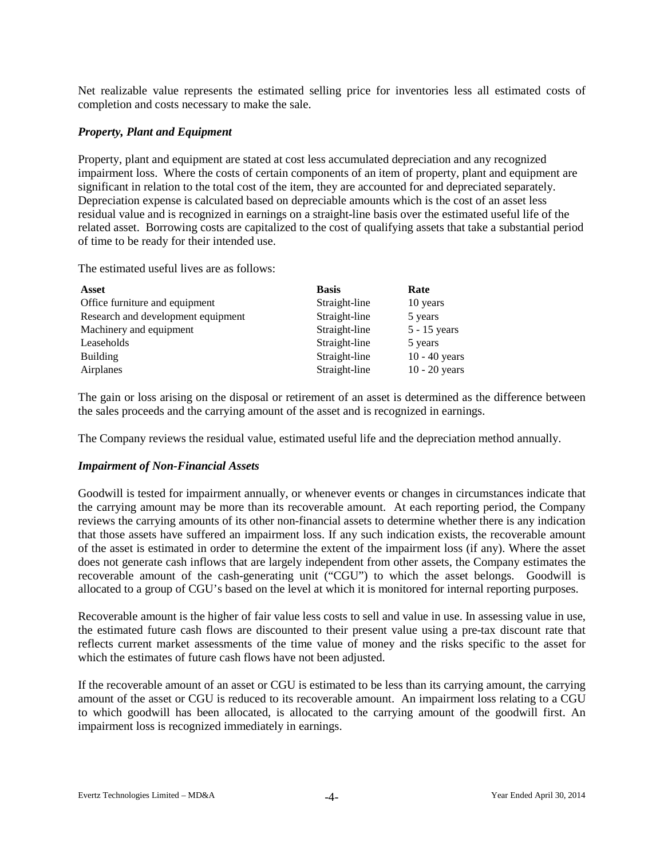Net realizable value represents the estimated selling price for inventories less all estimated costs of completion and costs necessary to make the sale.

## *Property, Plant and Equipment*

Property, plant and equipment are stated at cost less accumulated depreciation and any recognized impairment loss. Where the costs of certain components of an item of property, plant and equipment are significant in relation to the total cost of the item, they are accounted for and depreciated separately. Depreciation expense is calculated based on depreciable amounts which is the cost of an asset less residual value and is recognized in earnings on a straight-line basis over the estimated useful life of the related asset. Borrowing costs are capitalized to the cost of qualifying assets that take a substantial period of time to be ready for their intended use.

The estimated useful lives are as follows:

| <b>Asset</b>                       | <b>Basis</b>  | Rate            |
|------------------------------------|---------------|-----------------|
| Office furniture and equipment     | Straight-line | 10 years        |
| Research and development equipment | Straight-line | 5 years         |
| Machinery and equipment            | Straight-line | $5 - 15$ years  |
| Leaseholds                         | Straight-line | 5 years         |
| <b>Building</b>                    | Straight-line | $10 - 40$ years |
| Airplanes                          | Straight-line | $10 - 20$ years |

The gain or loss arising on the disposal or retirement of an asset is determined as the difference between the sales proceeds and the carrying amount of the asset and is recognized in earnings.

The Company reviews the residual value, estimated useful life and the depreciation method annually.

#### *Impairment of Non-Financial Assets*

Goodwill is tested for impairment annually, or whenever events or changes in circumstances indicate that the carrying amount may be more than its recoverable amount. At each reporting period, the Company reviews the carrying amounts of its other non-financial assets to determine whether there is any indication that those assets have suffered an impairment loss. If any such indication exists, the recoverable amount of the asset is estimated in order to determine the extent of the impairment loss (if any). Where the asset does not generate cash inflows that are largely independent from other assets, the Company estimates the recoverable amount of the cash-generating unit ("CGU") to which the asset belongs. Goodwill is allocated to a group of CGU's based on the level at which it is monitored for internal reporting purposes.

Recoverable amount is the higher of fair value less costs to sell and value in use. In assessing value in use, the estimated future cash flows are discounted to their present value using a pre-tax discount rate that reflects current market assessments of the time value of money and the risks specific to the asset for which the estimates of future cash flows have not been adjusted.

If the recoverable amount of an asset or CGU is estimated to be less than its carrying amount, the carrying amount of the asset or CGU is reduced to its recoverable amount. An impairment loss relating to a CGU to which goodwill has been allocated, is allocated to the carrying amount of the goodwill first. An impairment loss is recognized immediately in earnings.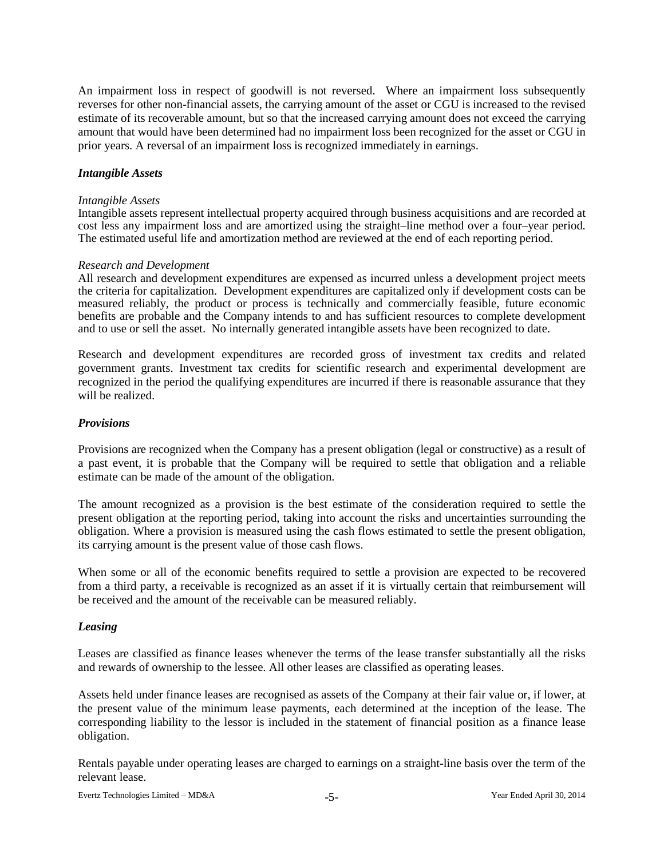An impairment loss in respect of goodwill is not reversed. Where an impairment loss subsequently reverses for other non-financial assets, the carrying amount of the asset or CGU is increased to the revised estimate of its recoverable amount, but so that the increased carrying amount does not exceed the carrying amount that would have been determined had no impairment loss been recognized for the asset or CGU in prior years. A reversal of an impairment loss is recognized immediately in earnings.

## *Intangible Assets*

#### *Intangible Assets*

Intangible assets represent intellectual property acquired through business acquisitions and are recorded at cost less any impairment loss and are amortized using the straight–line method over a four–year period. The estimated useful life and amortization method are reviewed at the end of each reporting period.

#### *Research and Development*

All research and development expenditures are expensed as incurred unless a development project meets the criteria for capitalization. Development expenditures are capitalized only if development costs can be measured reliably, the product or process is technically and commercially feasible, future economic benefits are probable and the Company intends to and has sufficient resources to complete development and to use or sell the asset. No internally generated intangible assets have been recognized to date.

Research and development expenditures are recorded gross of investment tax credits and related government grants. Investment tax credits for scientific research and experimental development are recognized in the period the qualifying expenditures are incurred if there is reasonable assurance that they will be realized.

#### *Provisions*

Provisions are recognized when the Company has a present obligation (legal or constructive) as a result of a past event, it is probable that the Company will be required to settle that obligation and a reliable estimate can be made of the amount of the obligation.

The amount recognized as a provision is the best estimate of the consideration required to settle the present obligation at the reporting period, taking into account the risks and uncertainties surrounding the obligation. Where a provision is measured using the cash flows estimated to settle the present obligation, its carrying amount is the present value of those cash flows.

When some or all of the economic benefits required to settle a provision are expected to be recovered from a third party, a receivable is recognized as an asset if it is virtually certain that reimbursement will be received and the amount of the receivable can be measured reliably.

#### *Leasing*

Leases are classified as finance leases whenever the terms of the lease transfer substantially all the risks and rewards of ownership to the lessee. All other leases are classified as operating leases.

Assets held under finance leases are recognised as assets of the Company at their fair value or, if lower, at the present value of the minimum lease payments, each determined at the inception of the lease. The corresponding liability to the lessor is included in the statement of financial position as a finance lease obligation.

Rentals payable under operating leases are charged to earnings on a straight-line basis over the term of the relevant lease.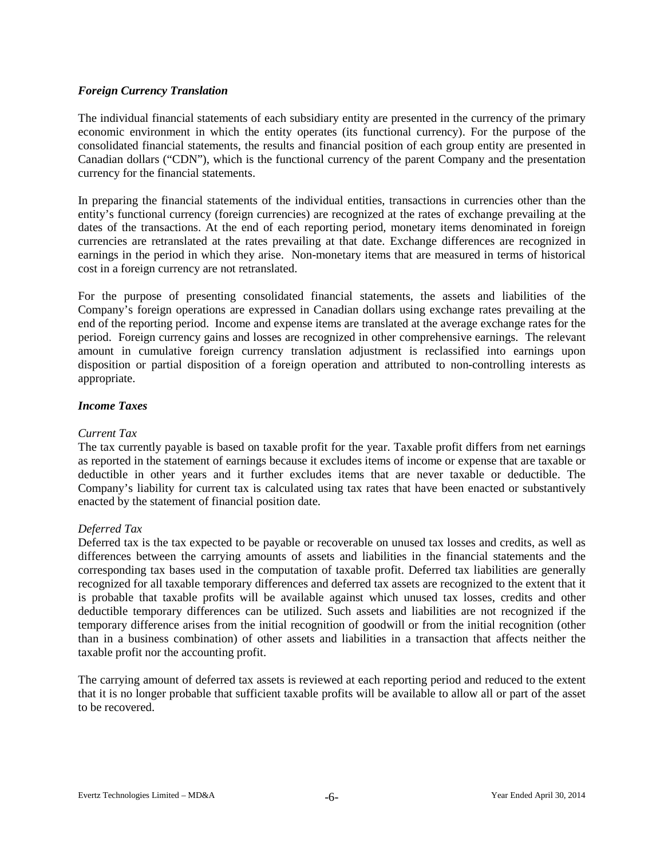## *Foreign Currency Translation*

The individual financial statements of each subsidiary entity are presented in the currency of the primary economic environment in which the entity operates (its functional currency). For the purpose of the consolidated financial statements, the results and financial position of each group entity are presented in Canadian dollars ("CDN"), which is the functional currency of the parent Company and the presentation currency for the financial statements.

In preparing the financial statements of the individual entities, transactions in currencies other than the entity's functional currency (foreign currencies) are recognized at the rates of exchange prevailing at the dates of the transactions. At the end of each reporting period, monetary items denominated in foreign currencies are retranslated at the rates prevailing at that date. Exchange differences are recognized in earnings in the period in which they arise. Non-monetary items that are measured in terms of historical cost in a foreign currency are not retranslated.

For the purpose of presenting consolidated financial statements, the assets and liabilities of the Company's foreign operations are expressed in Canadian dollars using exchange rates prevailing at the end of the reporting period. Income and expense items are translated at the average exchange rates for the period. Foreign currency gains and losses are recognized in other comprehensive earnings. The relevant amount in cumulative foreign currency translation adjustment is reclassified into earnings upon disposition or partial disposition of a foreign operation and attributed to non-controlling interests as appropriate.

## *Income Taxes*

## *Current Tax*

The tax currently payable is based on taxable profit for the year. Taxable profit differs from net earnings as reported in the statement of earnings because it excludes items of income or expense that are taxable or deductible in other years and it further excludes items that are never taxable or deductible. The Company's liability for current tax is calculated using tax rates that have been enacted or substantively enacted by the statement of financial position date.

#### *Deferred Tax*

Deferred tax is the tax expected to be payable or recoverable on unused tax losses and credits, as well as differences between the carrying amounts of assets and liabilities in the financial statements and the corresponding tax bases used in the computation of taxable profit. Deferred tax liabilities are generally recognized for all taxable temporary differences and deferred tax assets are recognized to the extent that it is probable that taxable profits will be available against which unused tax losses, credits and other deductible temporary differences can be utilized. Such assets and liabilities are not recognized if the temporary difference arises from the initial recognition of goodwill or from the initial recognition (other than in a business combination) of other assets and liabilities in a transaction that affects neither the taxable profit nor the accounting profit.

The carrying amount of deferred tax assets is reviewed at each reporting period and reduced to the extent that it is no longer probable that sufficient taxable profits will be available to allow all or part of the asset to be recovered.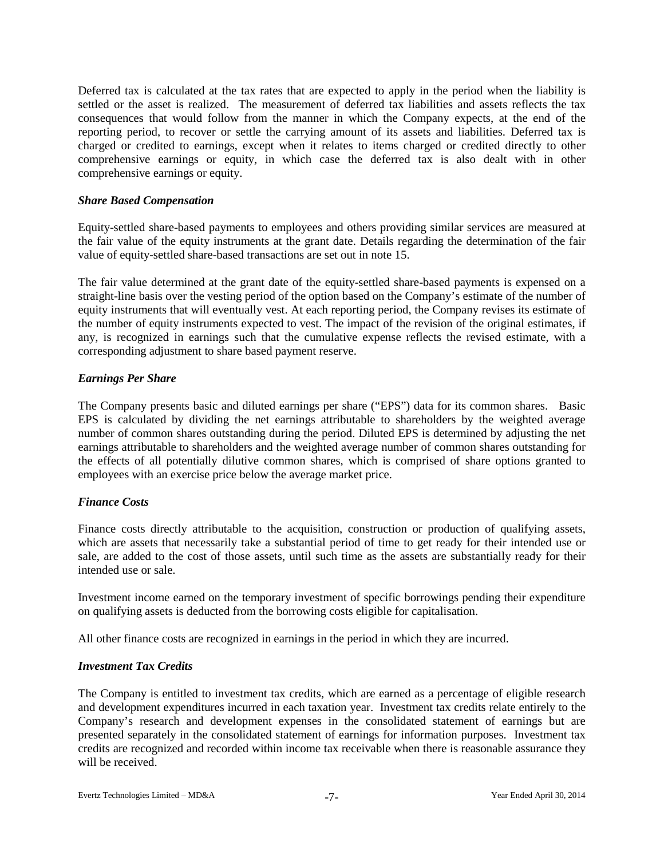Deferred tax is calculated at the tax rates that are expected to apply in the period when the liability is settled or the asset is realized. The measurement of deferred tax liabilities and assets reflects the tax consequences that would follow from the manner in which the Company expects, at the end of the reporting period, to recover or settle the carrying amount of its assets and liabilities. Deferred tax is charged or credited to earnings, except when it relates to items charged or credited directly to other comprehensive earnings or equity, in which case the deferred tax is also dealt with in other comprehensive earnings or equity.

## *Share Based Compensation*

Equity-settled share-based payments to employees and others providing similar services are measured at the fair value of the equity instruments at the grant date. Details regarding the determination of the fair value of equity-settled share-based transactions are set out in note 15.

The fair value determined at the grant date of the equity-settled share-based payments is expensed on a straight-line basis over the vesting period of the option based on the Company's estimate of the number of equity instruments that will eventually vest. At each reporting period, the Company revises its estimate of the number of equity instruments expected to vest. The impact of the revision of the original estimates, if any, is recognized in earnings such that the cumulative expense reflects the revised estimate, with a corresponding adjustment to share based payment reserve.

# *Earnings Per Share*

The Company presents basic and diluted earnings per share ("EPS") data for its common shares. Basic EPS is calculated by dividing the net earnings attributable to shareholders by the weighted average number of common shares outstanding during the period. Diluted EPS is determined by adjusting the net earnings attributable to shareholders and the weighted average number of common shares outstanding for the effects of all potentially dilutive common shares, which is comprised of share options granted to employees with an exercise price below the average market price.

# *Finance Costs*

Finance costs directly attributable to the acquisition, construction or production of qualifying assets, which are assets that necessarily take a substantial period of time to get ready for their intended use or sale, are added to the cost of those assets, until such time as the assets are substantially ready for their intended use or sale.

Investment income earned on the temporary investment of specific borrowings pending their expenditure on qualifying assets is deducted from the borrowing costs eligible for capitalisation.

All other finance costs are recognized in earnings in the period in which they are incurred.

# *Investment Tax Credits*

The Company is entitled to investment tax credits, which are earned as a percentage of eligible research and development expenditures incurred in each taxation year. Investment tax credits relate entirely to the Company's research and development expenses in the consolidated statement of earnings but are presented separately in the consolidated statement of earnings for information purposes. Investment tax credits are recognized and recorded within income tax receivable when there is reasonable assurance they will be received.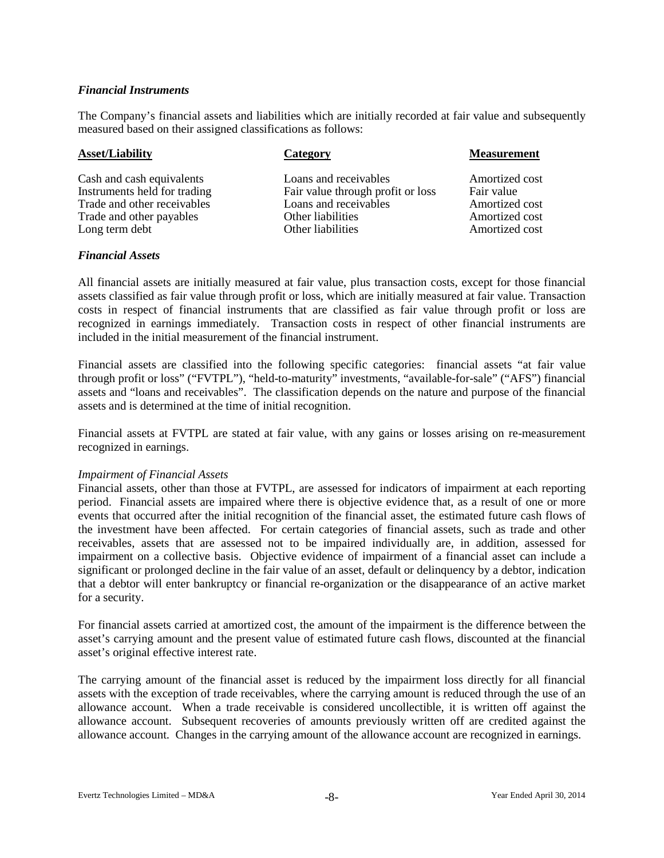## *Financial Instruments*

The Company's financial assets and liabilities which are initially recorded at fair value and subsequently measured based on their assigned classifications as follows:

| <b>Asset/Liability</b>       | Category                          | <b>Measurement</b> |
|------------------------------|-----------------------------------|--------------------|
| Cash and cash equivalents    | Loans and receivables             | Amortized cost     |
| Instruments held for trading | Fair value through profit or loss | Fair value         |
| Trade and other receivables  | Loans and receivables             | Amortized cost     |
| Trade and other payables     | Other liabilities                 | Amortized cost     |
| Long term debt               | Other liabilities                 | Amortized cost     |

#### *Financial Assets*

All financial assets are initially measured at fair value, plus transaction costs, except for those financial assets classified as fair value through profit or loss, which are initially measured at fair value. Transaction costs in respect of financial instruments that are classified as fair value through profit or loss are recognized in earnings immediately. Transaction costs in respect of other financial instruments are included in the initial measurement of the financial instrument.

Financial assets are classified into the following specific categories: financial assets "at fair value through profit or loss" ("FVTPL"), "held-to-maturity" investments, "available-for-sale" ("AFS") financial assets and "loans and receivables". The classification depends on the nature and purpose of the financial assets and is determined at the time of initial recognition.

Financial assets at FVTPL are stated at fair value, with any gains or losses arising on re-measurement recognized in earnings.

#### *Impairment of Financial Assets*

Financial assets, other than those at FVTPL, are assessed for indicators of impairment at each reporting period. Financial assets are impaired where there is objective evidence that, as a result of one or more events that occurred after the initial recognition of the financial asset, the estimated future cash flows of the investment have been affected. For certain categories of financial assets, such as trade and other receivables, assets that are assessed not to be impaired individually are, in addition, assessed for impairment on a collective basis. Objective evidence of impairment of a financial asset can include a significant or prolonged decline in the fair value of an asset, default or delinquency by a debtor, indication that a debtor will enter bankruptcy or financial re-organization or the disappearance of an active market for a security.

For financial assets carried at amortized cost, the amount of the impairment is the difference between the asset's carrying amount and the present value of estimated future cash flows, discounted at the financial asset's original effective interest rate.

The carrying amount of the financial asset is reduced by the impairment loss directly for all financial assets with the exception of trade receivables, where the carrying amount is reduced through the use of an allowance account. When a trade receivable is considered uncollectible, it is written off against the allowance account. Subsequent recoveries of amounts previously written off are credited against the allowance account. Changes in the carrying amount of the allowance account are recognized in earnings.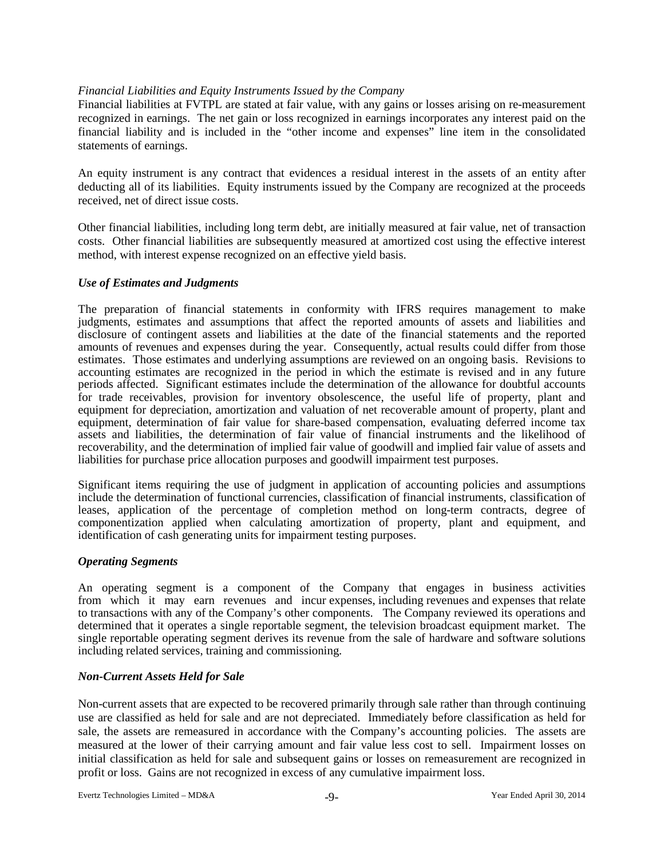## *Financial Liabilities and Equity Instruments Issued by the Company*

Financial liabilities at FVTPL are stated at fair value, with any gains or losses arising on re-measurement recognized in earnings. The net gain or loss recognized in earnings incorporates any interest paid on the financial liability and is included in the "other income and expenses" line item in the consolidated statements of earnings.

An equity instrument is any contract that evidences a residual interest in the assets of an entity after deducting all of its liabilities. Equity instruments issued by the Company are recognized at the proceeds received, net of direct issue costs.

Other financial liabilities, including long term debt, are initially measured at fair value, net of transaction costs. Other financial liabilities are subsequently measured at amortized cost using the effective interest method, with interest expense recognized on an effective yield basis.

## *Use of Estimates and Judgments*

The preparation of financial statements in conformity with IFRS requires management to make judgments, estimates and assumptions that affect the reported amounts of assets and liabilities and disclosure of contingent assets and liabilities at the date of the financial statements and the reported amounts of revenues and expenses during the year. Consequently, actual results could differ from those estimates. Those estimates and underlying assumptions are reviewed on an ongoing basis. Revisions to accounting estimates are recognized in the period in which the estimate is revised and in any future periods affected. Significant estimates include the determination of the allowance for doubtful accounts for trade receivables, provision for inventory obsolescence, the useful life of property, plant and equipment for depreciation, amortization and valuation of net recoverable amount of property, plant and equipment, determination of fair value for share-based compensation, evaluating deferred income tax assets and liabilities, the determination of fair value of financial instruments and the likelihood of recoverability, and the determination of implied fair value of goodwill and implied fair value of assets and liabilities for purchase price allocation purposes and goodwill impairment test purposes.

Significant items requiring the use of judgment in application of accounting policies and assumptions include the determination of functional currencies, classification of financial instruments, classification of leases, application of the percentage of completion method on long-term contracts, degree of componentization applied when calculating amortization of property, plant and equipment, and identification of cash generating units for impairment testing purposes.

#### *Operating Segments*

An operating segment is a component of the Company that engages in business activities from which it may earn revenues and incur expenses, including revenues and expenses that relate to transactions with any of the Company's other components. The Company reviewed its operations and determined that it operates a single reportable segment, the television broadcast equipment market. The single reportable operating segment derives its revenue from the sale of hardware and software solutions including related services, training and commissioning.

# *Non-Current Assets Held for Sale*

Non-current assets that are expected to be recovered primarily through sale rather than through continuing use are classified as held for sale and are not depreciated. Immediately before classification as held for sale, the assets are remeasured in accordance with the Company's accounting policies. The assets are measured at the lower of their carrying amount and fair value less cost to sell. Impairment losses on initial classification as held for sale and subsequent gains or losses on remeasurement are recognized in profit or loss. Gains are not recognized in excess of any cumulative impairment loss.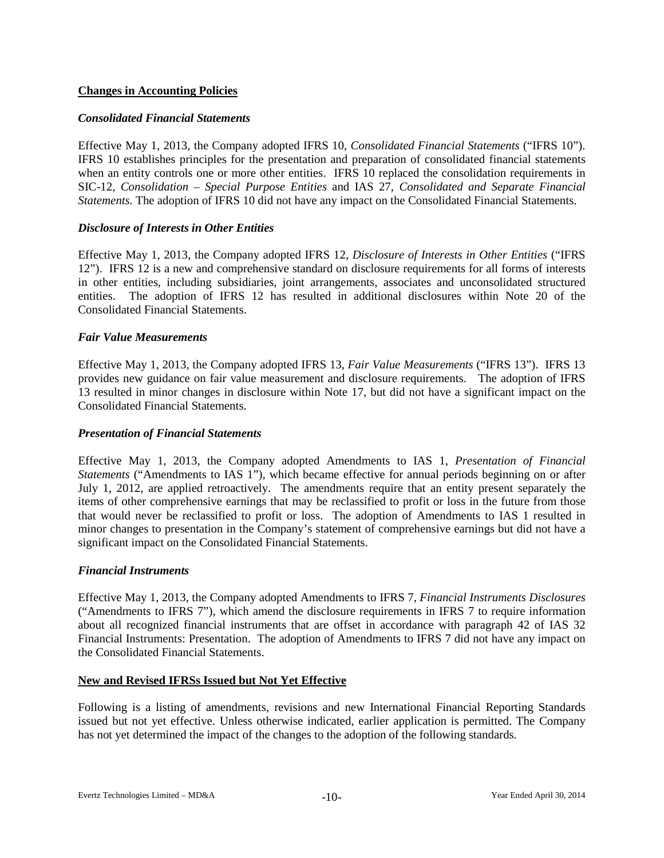# **Changes in Accounting Policies**

# *Consolidated Financial Statements*

Effective May 1, 2013, the Company adopted IFRS 10, *Consolidated Financial Statements* ("IFRS 10"). IFRS 10 establishes principles for the presentation and preparation of consolidated financial statements when an entity controls one or more other entities. IFRS 10 replaced the consolidation requirements in SIC-12, *Consolidation – Special Purpose Entities* and IAS 27, *Consolidated and Separate Financial Statements.* The adoption of IFRS 10 did not have any impact on the Consolidated Financial Statements.

# *Disclosure of Interests in Other Entities*

Effective May 1, 2013, the Company adopted IFRS 12, *Disclosure of Interests in Other Entities* ("IFRS 12"). IFRS 12 is a new and comprehensive standard on disclosure requirements for all forms of interests in other entities, including subsidiaries, joint arrangements, associates and unconsolidated structured entities. The adoption of IFRS 12 has resulted in additional disclosures within Note 20 of the Consolidated Financial Statements.

## *Fair Value Measurements*

Effective May 1, 2013, the Company adopted IFRS 13, *Fair Value Measurements* ("IFRS 13"). IFRS 13 provides new guidance on fair value measurement and disclosure requirements. The adoption of IFRS 13 resulted in minor changes in disclosure within Note 17, but did not have a significant impact on the Consolidated Financial Statements.

## *Presentation of Financial Statements*

Effective May 1, 2013, the Company adopted Amendments to IAS 1, *Presentation of Financial Statements* ("Amendments to IAS 1"), which became effective for annual periods beginning on or after July 1, 2012, are applied retroactively. The amendments require that an entity present separately the items of other comprehensive earnings that may be reclassified to profit or loss in the future from those that would never be reclassified to profit or loss. The adoption of Amendments to IAS 1 resulted in minor changes to presentation in the Company's statement of comprehensive earnings but did not have a significant impact on the Consolidated Financial Statements.

#### *Financial Instruments*

Effective May 1, 2013, the Company adopted Amendments to IFRS 7, *Financial Instruments Disclosures* ("Amendments to IFRS 7"), which amend the disclosure requirements in IFRS 7 to require information about all recognized financial instruments that are offset in accordance with paragraph 42 of IAS 32 Financial Instruments: Presentation. The adoption of Amendments to IFRS 7 did not have any impact on the Consolidated Financial Statements.

#### **New and Revised IFRSs Issued but Not Yet Effective**

Following is a listing of amendments, revisions and new International Financial Reporting Standards issued but not yet effective. Unless otherwise indicated, earlier application is permitted. The Company has not yet determined the impact of the changes to the adoption of the following standards.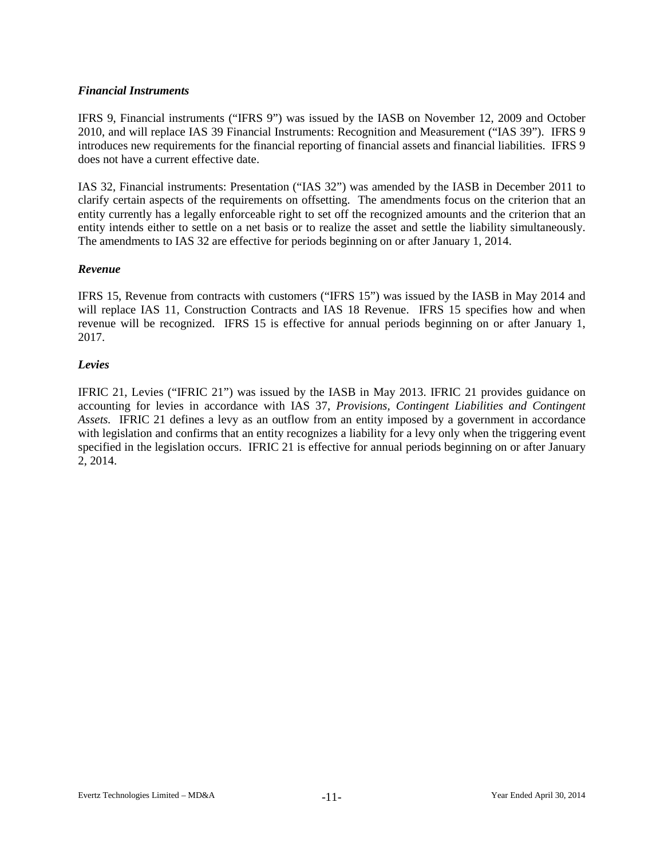# *Financial Instruments*

IFRS 9, Financial instruments ("IFRS 9") was issued by the IASB on November 12, 2009 and October 2010, and will replace IAS 39 Financial Instruments: Recognition and Measurement ("IAS 39"). IFRS 9 introduces new requirements for the financial reporting of financial assets and financial liabilities. IFRS 9 does not have a current effective date.

IAS 32, Financial instruments: Presentation ("IAS 32") was amended by the IASB in December 2011 to clarify certain aspects of the requirements on offsetting. The amendments focus on the criterion that an entity currently has a legally enforceable right to set off the recognized amounts and the criterion that an entity intends either to settle on a net basis or to realize the asset and settle the liability simultaneously. The amendments to IAS 32 are effective for periods beginning on or after January 1, 2014.

# *Revenue*

IFRS 15, Revenue from contracts with customers ("IFRS 15") was issued by the IASB in May 2014 and will replace IAS 11, Construction Contracts and IAS 18 Revenue. IFRS 15 specifies how and when revenue will be recognized. IFRS 15 is effective for annual periods beginning on or after January 1, 2017.

# *Levies*

IFRIC 21, Levies ("IFRIC 21") was issued by the IASB in May 2013. IFRIC 21 provides guidance on accounting for levies in accordance with IAS 37, *Provisions, Contingent Liabilities and Contingent Assets.* IFRIC 21 defines a levy as an outflow from an entity imposed by a government in accordance with legislation and confirms that an entity recognizes a liability for a levy only when the triggering event specified in the legislation occurs. IFRIC 21 is effective for annual periods beginning on or after January 2, 2014.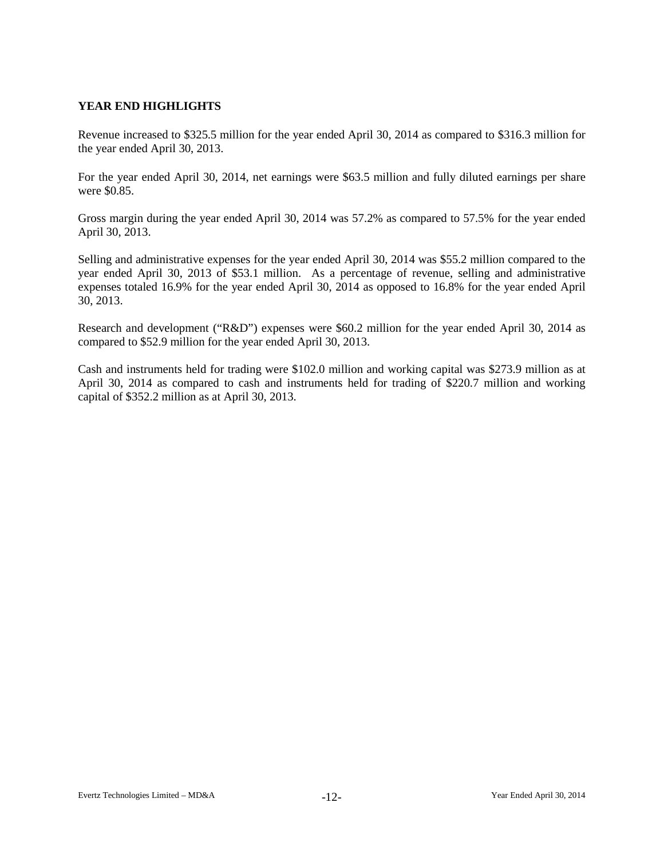# **YEAR END HIGHLIGHTS**

Revenue increased to \$325.5 million for the year ended April 30, 2014 as compared to \$316.3 million for the year ended April 30, 2013.

For the year ended April 30, 2014, net earnings were \$63.5 million and fully diluted earnings per share were \$0.85.

Gross margin during the year ended April 30, 2014 was 57.2% as compared to 57.5% for the year ended April 30, 2013.

Selling and administrative expenses for the year ended April 30, 2014 was \$55.2 million compared to the year ended April 30, 2013 of \$53.1 million. As a percentage of revenue, selling and administrative expenses totaled 16.9% for the year ended April 30, 2014 as opposed to 16.8% for the year ended April 30, 2013.

Research and development ("R&D") expenses were \$60.2 million for the year ended April 30, 2014 as compared to \$52.9 million for the year ended April 30, 2013.

Cash and instruments held for trading were \$102.0 million and working capital was \$273.9 million as at April 30, 2014 as compared to cash and instruments held for trading of \$220.7 million and working capital of \$352.2 million as at April 30, 2013.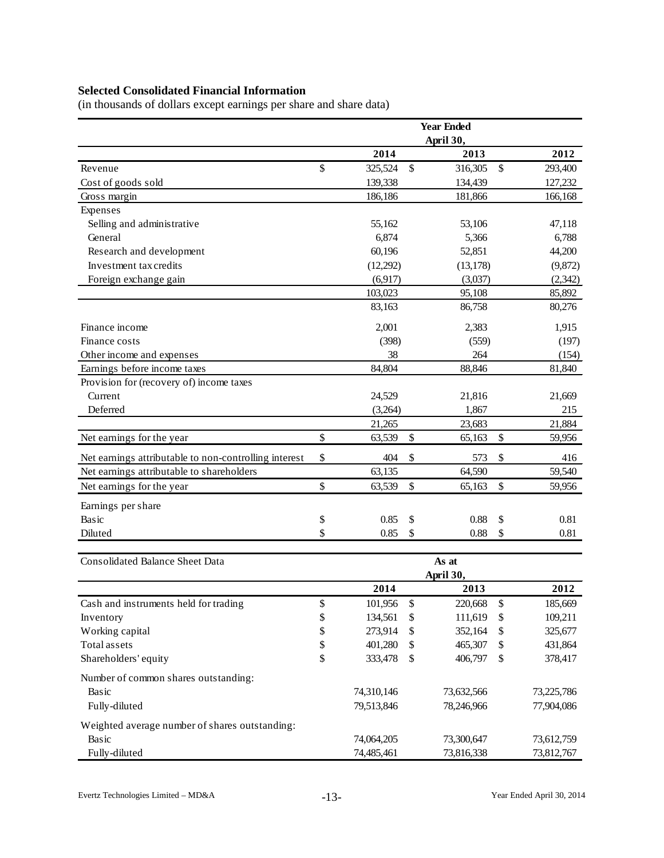# **Selected Consolidated Financial Information**

(in thousands of dollars except earnings per share and share data)

|                                                       |          |            |          | <b>Year Ended</b>  |               |                    |
|-------------------------------------------------------|----------|------------|----------|--------------------|---------------|--------------------|
|                                                       |          |            |          | April 30,          |               |                    |
|                                                       |          | 2014       |          | 2013               |               | 2012               |
| Revenue                                               | \$       | 325,524    | \$       | 316,305            | $\mathcal{S}$ | 293,400            |
| Cost of goods sold                                    |          | 139,338    |          | 134,439            |               | 127,232            |
| Gross margin                                          |          | 186,186    |          | 181,866            |               | 166,168            |
| Expenses                                              |          |            |          |                    |               |                    |
| Selling and administrative                            |          | 55,162     |          | 53,106             |               | 47,118             |
| General                                               |          | 6,874      |          | 5,366              |               | 6,788              |
| Research and development                              |          | 60,196     |          | 52,851             |               | 44,200             |
| Investment tax credits                                |          | (12,292)   |          | (13, 178)          |               | (9,872)            |
| Foreign exchange gain                                 |          | (6,917)    |          | (3,037)            |               | (2, 342)           |
|                                                       |          | 103,023    |          | 95,108             |               | 85,892             |
|                                                       |          | 83,163     |          | 86,758             |               | 80,276             |
| Finance income                                        |          | 2,001      |          | 2,383              |               | 1,915              |
| Finance costs                                         |          | (398)      |          | (559)              |               | (197)              |
| Other income and expenses                             |          | 38         |          | 264                |               | (154)              |
| Earnings before income taxes                          |          | 84,804     |          | 88,846             |               | 81,840             |
| Provision for (recovery of) income taxes              |          |            |          |                    |               |                    |
| Current                                               |          | 24,529     |          | 21,816             |               | 21,669             |
| Deferred                                              |          | (3,264)    |          | 1,867              |               | 215                |
|                                                       |          | 21,265     |          | 23,683             |               | 21,884             |
| Net earnings for the year                             | $\$$     | 63,539     | \$       | 65,163             | \$            | 59,956             |
| Net earnings attributable to non-controlling interest | \$       | 404        | \$       | 573                | \$            | 416                |
| Net earnings attributable to shareholders             |          | 63,135     |          | 64,590             |               | 59,540             |
| Net earnings for the year                             | \$       | 63,539     | \$       | 65,163             | \$            | 59,956             |
| Earnings per share                                    |          |            |          |                    |               |                    |
| Basic                                                 | \$       | 0.85       | \$       | 0.88               | \$            | 0.81               |
| Diluted                                               | \$       | 0.85       | \$       | 0.88               | \$            | 0.81               |
|                                                       |          |            |          |                    |               |                    |
| <b>Consolidated Balance Sheet Data</b>                |          |            |          | As at              |               |                    |
|                                                       |          | 2014       |          | April 30,<br>2013  |               | 2012               |
|                                                       |          | 101,956    | \$       | 220,668            | $\$$          |                    |
| Cash and instruments held for trading                 | \$<br>\$ | 134,561    |          | 111,619            |               | 185,669            |
| Inventory<br>Working capital                          | \$       | 273,914    | \$<br>\$ | 352,164            | \$<br>\$      | 109,211<br>325,677 |
| Total assets                                          | \$       |            |          |                    | \$            | 431,864            |
| Shareholders' equity                                  | \$       | 401,280    | \$<br>\$ | 465,307<br>406,797 | \$            |                    |
|                                                       |          | 333,478    |          |                    |               | 378,417            |
| Number of common shares outstanding:                  |          |            |          |                    |               |                    |
| Basic                                                 |          | 74,310,146 |          | 73,632,566         |               | 73,225,786         |
| Fully-diluted                                         |          | 79,513,846 |          | 78,246,966         |               | 77,904,086         |
| Weighted average number of shares outstanding:        |          |            |          |                    |               |                    |
| Basic                                                 |          | 74,064,205 |          | 73,300,647         |               | 73,612,759         |
| Fully-diluted                                         |          | 74,485,461 |          | 73,816,338         |               | 73,812,767         |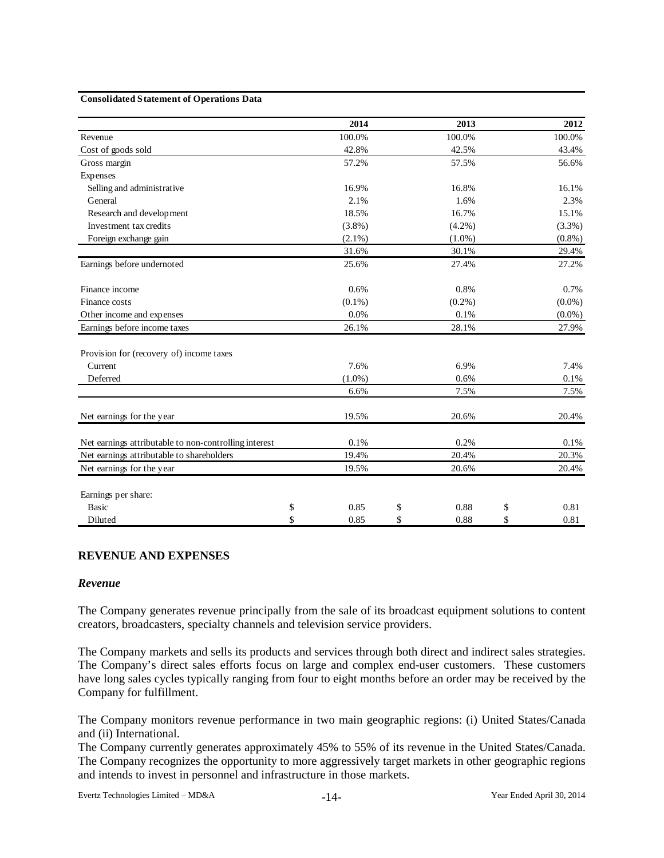#### **Consolidated Statement of Operations Data**

|                                                       | 2014       | 2013       | 2012       |
|-------------------------------------------------------|------------|------------|------------|
| Revenue                                               | 100.0%     | 100.0%     | 100.0%     |
| Cost of goods sold                                    | 42.8%      | 42.5%      | 43.4%      |
| Gross margin                                          | 57.2%      | 57.5%      | 56.6%      |
| Expenses                                              |            |            |            |
| Selling and administrative                            | 16.9%      | 16.8%      | 16.1%      |
| General                                               | 2.1%       | 1.6%       | 2.3%       |
| Research and development                              | 18.5%      | 16.7%      | 15.1%      |
| Investment tax credits                                | $(3.8\%)$  | $(4.2\%)$  | (3.3%)     |
| Foreign exchange gain                                 | $(2.1\%)$  | $(1.0\%)$  | $(0.8\%)$  |
|                                                       | 31.6%      | 30.1%      | 29.4%      |
| Earnings before undernoted                            | 25.6%      | 27.4%      | 27.2%      |
| Finance income                                        | 0.6%       | 0.8%       | 0.7%       |
| Finance costs                                         | $(0.1\%)$  | $(0.2\%)$  | $(0.0\%)$  |
| Other income and expenses                             | 0.0%       | 0.1%       | $(0.0\%)$  |
| Earnings before income taxes                          | 26.1%      | 28.1%      | 27.9%      |
| Provision for (recovery of) income taxes              |            |            |            |
| Current                                               | 7.6%       | 6.9%       | 7.4%       |
| Deferred                                              | $(1.0\%)$  | 0.6%       | 0.1%       |
|                                                       | 6.6%       | 7.5%       | 7.5%       |
| Net earnings for the year                             | 19.5%      | 20.6%      | 20.4%      |
| Net earnings attributable to non-controlling interest | 0.1%       | 0.2%       | 0.1%       |
| Net earnings attributable to shareholders             | 19.4%      | 20.4%      | 20.3%      |
| Net earnings for the year                             | 19.5%      | 20.6%      | 20.4%      |
| Earnings per share:                                   |            |            |            |
| <b>Basic</b>                                          | \$<br>0.85 | \$<br>0.88 | \$<br>0.81 |
| Diluted                                               | \$<br>0.85 | \$<br>0.88 | \$<br>0.81 |

#### **REVENUE AND EXPENSES**

#### *Revenue*

The Company generates revenue principally from the sale of its broadcast equipment solutions to content creators, broadcasters, specialty channels and television service providers.

The Company markets and sells its products and services through both direct and indirect sales strategies. The Company's direct sales efforts focus on large and complex end-user customers. These customers have long sales cycles typically ranging from four to eight months before an order may be received by the Company for fulfillment.

The Company monitors revenue performance in two main geographic regions: (i) United States/Canada and (ii) International.

The Company currently generates approximately 45% to 55% of its revenue in the United States/Canada. The Company recognizes the opportunity to more aggressively target markets in other geographic regions and intends to invest in personnel and infrastructure in those markets.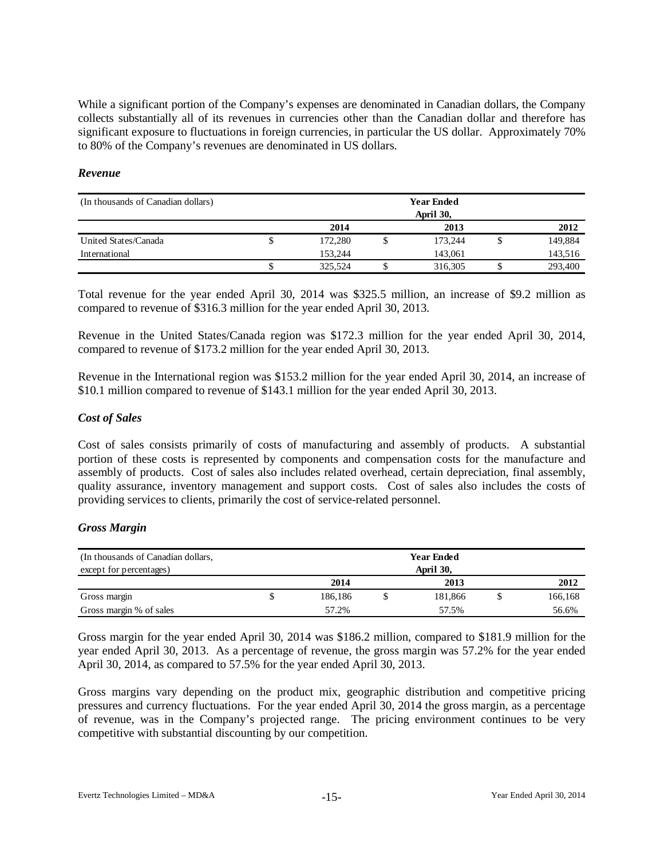While a significant portion of the Company's expenses are denominated in Canadian dollars, the Company collects substantially all of its revenues in currencies other than the Canadian dollar and therefore has significant exposure to fluctuations in foreign currencies, in particular the US dollar. Approximately 70% to 80% of the Company's revenues are denominated in US dollars.

## *Revenue*

| (In thousands of Canadian dollars) |   | <b>Year Ended</b><br>April 30, |  |         |  |         |  |
|------------------------------------|---|--------------------------------|--|---------|--|---------|--|
|                                    |   | 2014                           |  | 2013    |  | 2012    |  |
| United States/Canada               | ٩ | 172,280                        |  | 173.244 |  | 149,884 |  |
| International                      |   | 153.244                        |  | 143,061 |  | 143,516 |  |
|                                    | w | 325.524                        |  | 316,305 |  | 293,400 |  |

Total revenue for the year ended April 30, 2014 was \$325.5 million, an increase of \$9.2 million as compared to revenue of \$316.3 million for the year ended April 30, 2013.

Revenue in the United States/Canada region was \$172.3 million for the year ended April 30, 2014, compared to revenue of \$173.2 million for the year ended April 30, 2013.

Revenue in the International region was \$153.2 million for the year ended April 30, 2014, an increase of \$10.1 million compared to revenue of \$143.1 million for the year ended April 30, 2013.

## *Cost of Sales*

Cost of sales consists primarily of costs of manufacturing and assembly of products. A substantial portion of these costs is represented by components and compensation costs for the manufacture and assembly of products. Cost of sales also includes related overhead, certain depreciation, final assembly, quality assurance, inventory management and support costs. Cost of sales also includes the costs of providing services to clients, primarily the cost of service-related personnel.

# *Gross Margin*

| (In thousands of Canadian dollars,<br>except for percentages) | <b>Year Ended</b><br>April 30, |  |         |  |         |  |
|---------------------------------------------------------------|--------------------------------|--|---------|--|---------|--|
|                                                               | 2014                           |  | 2013    |  | 2012    |  |
| Gross margin                                                  | 186,186                        |  | 181.866 |  | 166,168 |  |
| Gross margin % of sales                                       | 57.2%                          |  | 57.5%   |  | 56.6%   |  |

Gross margin for the year ended April 30, 2014 was \$186.2 million, compared to \$181.9 million for the year ended April 30, 2013. As a percentage of revenue, the gross margin was 57.2% for the year ended April 30, 2014, as compared to 57.5% for the year ended April 30, 2013.

Gross margins vary depending on the product mix, geographic distribution and competitive pricing pressures and currency fluctuations. For the year ended April 30, 2014 the gross margin, as a percentage of revenue, was in the Company's projected range. The pricing environment continues to be very competitive with substantial discounting by our competition.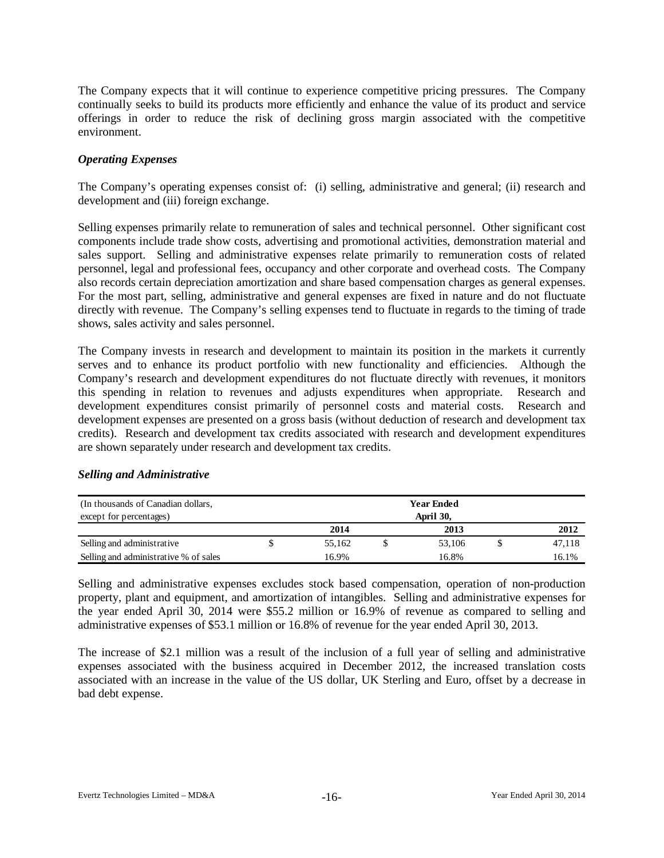The Company expects that it will continue to experience competitive pricing pressures. The Company continually seeks to build its products more efficiently and enhance the value of its product and service offerings in order to reduce the risk of declining gross margin associated with the competitive environment.

## *Operating Expenses*

The Company's operating expenses consist of: (i) selling, administrative and general; (ii) research and development and (iii) foreign exchange.

Selling expenses primarily relate to remuneration of sales and technical personnel. Other significant cost components include trade show costs, advertising and promotional activities, demonstration material and sales support. Selling and administrative expenses relate primarily to remuneration costs of related personnel, legal and professional fees, occupancy and other corporate and overhead costs. The Company also records certain depreciation amortization and share based compensation charges as general expenses. For the most part, selling, administrative and general expenses are fixed in nature and do not fluctuate directly with revenue. The Company's selling expenses tend to fluctuate in regards to the timing of trade shows, sales activity and sales personnel.

The Company invests in research and development to maintain its position in the markets it currently serves and to enhance its product portfolio with new functionality and efficiencies. Although the Company's research and development expenditures do not fluctuate directly with revenues, it monitors this spending in relation to revenues and adjusts expenditures when appropriate. Research and development expenditures consist primarily of personnel costs and material costs. Research and development expenses are presented on a gross basis (without deduction of research and development tax credits). Research and development tax credits associated with research and development expenditures are shown separately under research and development tax credits.

#### *Selling and Administrative*

| (In thousands of Canadian dollars,    | <b>Year Ended</b> |           |  |        |  |        |  |
|---------------------------------------|-------------------|-----------|--|--------|--|--------|--|
| except for percentages)               |                   | April 30, |  |        |  |        |  |
|                                       |                   | 2014      |  | 2013   |  | 2012   |  |
| Selling and administrative            |                   | 55.162    |  | 53,106 |  | 47,118 |  |
| Selling and administrative % of sales |                   | 16.9%     |  | 16.8%  |  | 16.1%  |  |

Selling and administrative expenses excludes stock based compensation, operation of non-production property, plant and equipment, and amortization of intangibles. Selling and administrative expenses for the year ended April 30, 2014 were \$55.2 million or 16.9% of revenue as compared to selling and administrative expenses of \$53.1 million or 16.8% of revenue for the year ended April 30, 2013.

The increase of \$2.1 million was a result of the inclusion of a full year of selling and administrative expenses associated with the business acquired in December 2012, the increased translation costs associated with an increase in the value of the US dollar, UK Sterling and Euro, offset by a decrease in bad debt expense.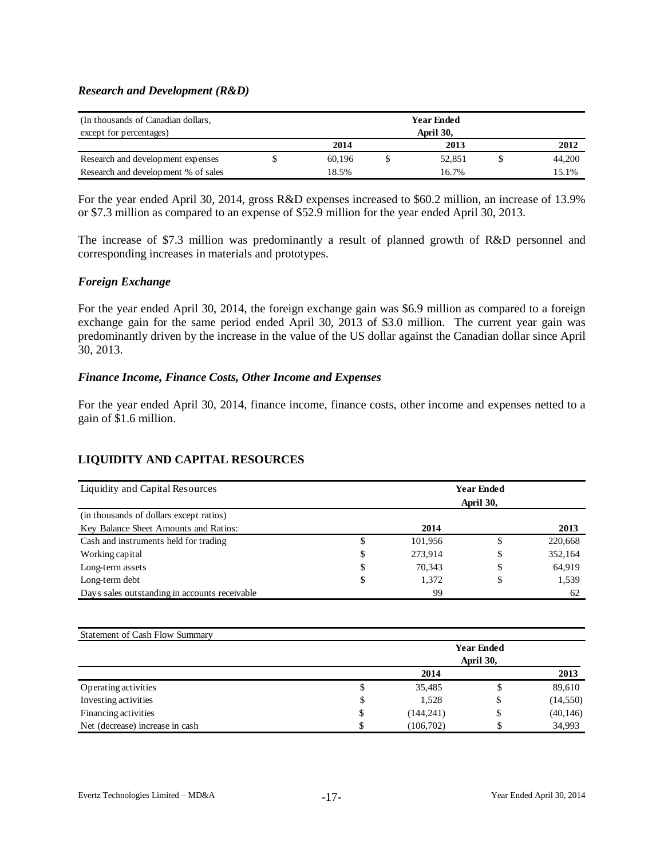## *Research and Development (R&D)*

| (In thousands of Canadian dollars,<br><b>Year Ended</b><br>April 30,<br>except for percentages) |  |        |  |        |        |
|-------------------------------------------------------------------------------------------------|--|--------|--|--------|--------|
|                                                                                                 |  | 2014   |  | 2013   | 2012   |
| Research and development expenses                                                               |  | 60.196 |  | 52.851 | 44,200 |
| Research and development % of sales                                                             |  | 18.5%  |  | 16.7%  | 15.1%  |

For the year ended April 30, 2014, gross R&D expenses increased to \$60.2 million, an increase of 13.9% or \$7.3 million as compared to an expense of \$52.9 million for the year ended April 30, 2013.

The increase of \$7.3 million was predominantly a result of planned growth of R&D personnel and corresponding increases in materials and prototypes.

# *Foreign Exchange*

For the year ended April 30, 2014, the foreign exchange gain was \$6.9 million as compared to a foreign exchange gain for the same period ended April 30, 2013 of \$3.0 million. The current year gain was predominantly driven by the increase in the value of the US dollar against the Canadian dollar since April 30, 2013.

## *Finance Income, Finance Costs, Other Income and Expenses*

For the year ended April 30, 2014, finance income, finance costs, other income and expenses netted to a gain of \$1.6 million.

# **LIQUIDITY AND CAPITAL RESOURCES**

| Liquidity and Capital Resources               | <b>Year Ended</b><br>April 30, |    |         |  |  |  |  |  |
|-----------------------------------------------|--------------------------------|----|---------|--|--|--|--|--|
| (in thousands of dollars except ratios)       |                                |    |         |  |  |  |  |  |
| Key Balance Sheet Amounts and Ratios:         | 2014                           |    | 2013    |  |  |  |  |  |
| Cash and instruments held for trading         | \$<br>101,956                  | \$ | 220,668 |  |  |  |  |  |
| Working capital                               | \$<br>273.914                  | \$ | 352,164 |  |  |  |  |  |
| Long-term assets                              | \$<br>70.343                   | \$ | 64,919  |  |  |  |  |  |
| Long-term debt                                | \$<br>1,372                    | \$ | 1,539   |  |  |  |  |  |
| Days sales outstanding in accounts receivable | 99                             |    | 62      |  |  |  |  |  |

| <b>Statement of Cash Flow Summary</b> |                   |            |           |           |  |  |  |  |
|---------------------------------------|-------------------|------------|-----------|-----------|--|--|--|--|
|                                       | <b>Year Ended</b> |            |           |           |  |  |  |  |
|                                       |                   |            | April 30, |           |  |  |  |  |
|                                       |                   | 2014       |           | 2013      |  |  |  |  |
| Operating activities                  | э                 | 35,485     | D         | 89,610    |  |  |  |  |
| Investing activities                  | S                 | 1,528      | \$        | (14, 550) |  |  |  |  |
| Financing activities                  | \$                | (144, 241) | \$        | (40, 146) |  |  |  |  |
| Net (decrease) increase in cash       |                   | (106,702)  | \$        | 34,993    |  |  |  |  |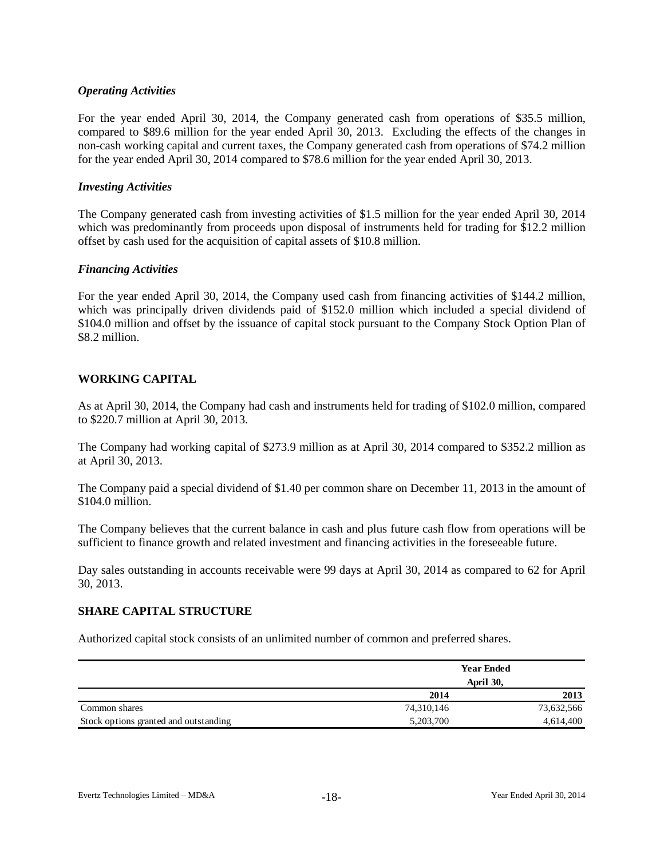## *Operating Activities*

For the year ended April 30, 2014, the Company generated cash from operations of \$35.5 million, compared to \$89.6 million for the year ended April 30, 2013. Excluding the effects of the changes in non-cash working capital and current taxes, the Company generated cash from operations of \$74.2 million for the year ended April 30, 2014 compared to \$78.6 million for the year ended April 30, 2013.

## *Investing Activities*

The Company generated cash from investing activities of \$1.5 million for the year ended April 30, 2014 which was predominantly from proceeds upon disposal of instruments held for trading for \$12.2 million offset by cash used for the acquisition of capital assets of \$10.8 million.

## *Financing Activities*

For the year ended April 30, 2014, the Company used cash from financing activities of \$144.2 million, which was principally driven dividends paid of \$152.0 million which included a special dividend of \$104.0 million and offset by the issuance of capital stock pursuant to the Company Stock Option Plan of \$8.2 million.

# **WORKING CAPITAL**

As at April 30, 2014, the Company had cash and instruments held for trading of \$102.0 million, compared to \$220.7 million at April 30, 2013.

The Company had working capital of \$273.9 million as at April 30, 2014 compared to \$352.2 million as at April 30, 2013.

The Company paid a special dividend of \$1.40 per common share on December 11, 2013 in the amount of \$104.0 million.

The Company believes that the current balance in cash and plus future cash flow from operations will be sufficient to finance growth and related investment and financing activities in the foreseeable future.

Day sales outstanding in accounts receivable were 99 days at April 30, 2014 as compared to 62 for April 30, 2013.

#### **SHARE CAPITAL STRUCTURE**

Authorized capital stock consists of an unlimited number of common and preferred shares.

|                                       |            | <b>Year Ended</b> |
|---------------------------------------|------------|-------------------|
|                                       |            | April 30,         |
|                                       | 2014       | 2013              |
| Common shares                         | 74,310,146 | 73,632,566        |
| Stock options granted and outstanding | 5,203,700  | 4,614,400         |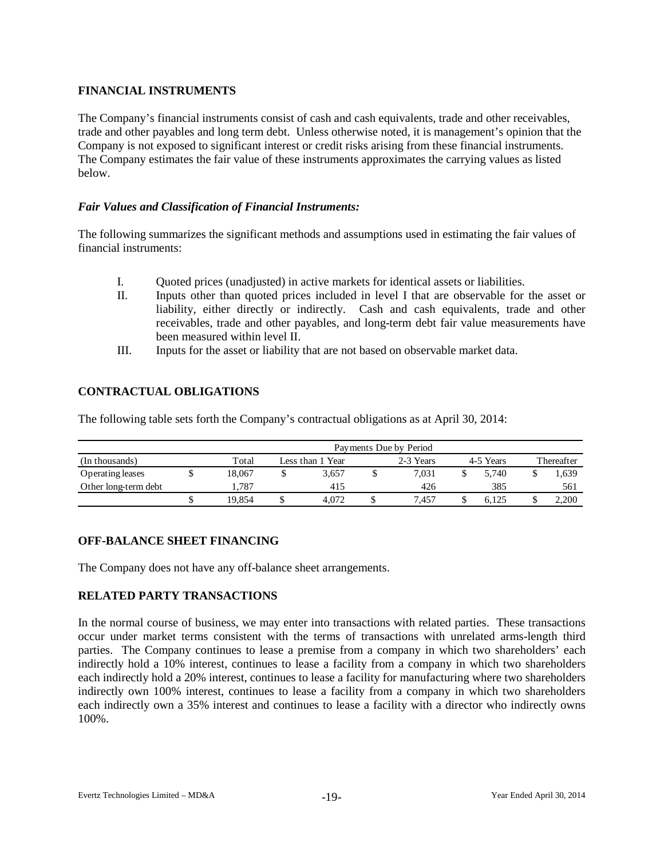# **FINANCIAL INSTRUMENTS**

The Company's financial instruments consist of cash and cash equivalents, trade and other receivables, trade and other payables and long term debt. Unless otherwise noted, it is management's opinion that the Company is not exposed to significant interest or credit risks arising from these financial instruments. The Company estimates the fair value of these instruments approximates the carrying values as listed below.

# *Fair Values and Classification of Financial Instruments:*

The following summarizes the significant methods and assumptions used in estimating the fair values of financial instruments:

- I. Quoted prices (unadjusted) in active markets for identical assets or liabilities.
- II. Inputs other than quoted prices included in level I that are observable for the asset or liability, either directly or indirectly. Cash and cash equivalents, trade and other receivables, trade and other payables, and long-term debt fair value measurements have been measured within level II.
- III. Inputs for the asset or liability that are not based on observable market data.

## **CONTRACTUAL OBLIGATIONS**

The following table sets forth the Company's contractual obligations as at April 30, 2014:

|                      | Payments Due by Period |        |                 |       |  |       |           |           |  |            |  |
|----------------------|------------------------|--------|-----------------|-------|--|-------|-----------|-----------|--|------------|--|
| (In thousands)       |                        | Total  | ess than 1 Year |       |  |       | 2-3 Years | 4-5 Years |  | Thereafter |  |
| Operating leases     |                        | 18.067 |                 | 3.657 |  | 7.031 |           | 5.740     |  | 1,639      |  |
| Other long-term debt |                        | .787   |                 | 415   |  | 426   |           | 385       |  | 561        |  |
|                      |                        | 19.854 |                 | 4.072 |  | 7.457 |           | 6.125     |  | 2,200      |  |

# **OFF-BALANCE SHEET FINANCING**

The Company does not have any off-balance sheet arrangements.

# **RELATED PARTY TRANSACTIONS**

In the normal course of business, we may enter into transactions with related parties. These transactions occur under market terms consistent with the terms of transactions with unrelated arms-length third parties. The Company continues to lease a premise from a company in which two shareholders' each indirectly hold a 10% interest, continues to lease a facility from a company in which two shareholders each indirectly hold a 20% interest, continues to lease a facility for manufacturing where two shareholders indirectly own 100% interest, continues to lease a facility from a company in which two shareholders each indirectly own a 35% interest and continues to lease a facility with a director who indirectly owns 100%.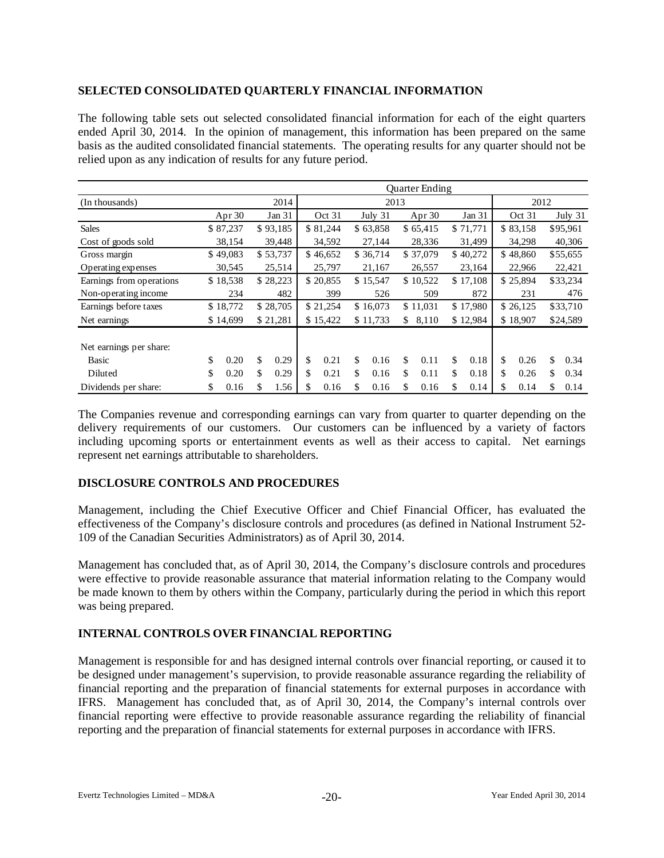## **SELECTED CONSOLIDATED QUARTERLY FINANCIAL INFORMATION**

The following table sets out selected consolidated financial information for each of the eight quarters ended April 30, 2014. In the opinion of management, this information has been prepared on the same basis as the audited consolidated financial statements. The operating results for any quarter should not be relied upon as any indication of results for any future period.

|                          | <b>Ouarter Ending</b> |          |          |          |          |          |          |          |             |          |          |          |          |          |          |           |  |
|--------------------------|-----------------------|----------|----------|----------|----------|----------|----------|----------|-------------|----------|----------|----------|----------|----------|----------|-----------|--|
| (In thousands)           |                       |          | 2014     | 2013     |          |          |          |          |             |          | 2012     |          |          |          |          |           |  |
|                          |                       | Apr 30   |          | Jan 31   |          | Oct 31   |          | July 31  |             | Apr 30   |          | Jan 31   |          | Oct 31   |          | July $31$ |  |
| <b>Sales</b>             |                       | \$87,237 |          | \$93,185 |          | \$81,244 |          | \$63,858 |             | \$65,415 |          | \$71,771 |          | \$83,158 |          | \$95,961  |  |
| Cost of goods sold       |                       | 38,154   |          | 39,448   |          | 34,592   |          | 27,144   |             | 28,336   |          | 31,499   |          | 34,298   |          | 40,306    |  |
| Gross margin             |                       | \$49,083 |          | \$53,737 |          | \$46,652 |          | \$36,714 |             | \$37,079 |          | \$40,272 |          | \$48,860 |          | \$55,655  |  |
| Operating expenses       |                       | 30,545   |          | 25,514   |          | 25,797   |          | 21,167   |             | 26,557   |          | 23,164   |          | 22,966   |          | 22,421    |  |
| Earnings from operations |                       | \$18,538 |          | \$28,223 |          | \$20,855 |          | \$15,547 |             | \$10,522 |          | \$17,108 |          | \$25,894 |          | \$33,234  |  |
| Non-operating income     | 234                   |          | 482      |          | 399      |          |          | 526      |             | 509      |          | 872      |          | 231      |          | 476       |  |
| Earnings before taxes    |                       | \$18,772 |          | \$28,705 |          | \$21,254 |          | \$16,073 |             | \$11,031 |          | \$17,980 |          | \$26,125 |          | \$33,710  |  |
| Net earnings             | \$14,699              |          | \$21,281 |          | \$15,422 |          | \$11,733 |          | 8,110<br>\$ |          | \$12,984 |          | \$18,907 |          | \$24,589 |           |  |
| Net earnings per share:  |                       |          |          |          |          |          |          |          |             |          |          |          |          |          |          |           |  |
| Basic                    | \$                    | 0.20     | \$       | 0.29     | \$       | 0.21     | \$       | 0.16     | \$          | 0.11     | \$       | 0.18     | \$       | 0.26     | \$       | 0.34      |  |
| Diluted                  | \$                    | 0.20     | \$       | 0.29     | \$       | 0.21     | \$       | 0.16     | \$          | 0.11     | \$       | 0.18     | \$       | 0.26     | \$       | 0.34      |  |
| Dividends per share:     | \$                    | 0.16     | \$       | 1.56     | \$       | 0.16     |          | 0.16     | \$          | 0.16     | \$       | 0.14     | \$       | 0.14     | \$       | 0.14      |  |

The Companies revenue and corresponding earnings can vary from quarter to quarter depending on the delivery requirements of our customers. Our customers can be influenced by a variety of factors including upcoming sports or entertainment events as well as their access to capital. Net earnings represent net earnings attributable to shareholders.

# **DISCLOSURE CONTROLS AND PROCEDURES**

Management, including the Chief Executive Officer and Chief Financial Officer, has evaluated the effectiveness of the Company's disclosure controls and procedures (as defined in National Instrument 52- 109 of the Canadian Securities Administrators) as of April 30, 2014.

Management has concluded that, as of April 30, 2014, the Company's disclosure controls and procedures were effective to provide reasonable assurance that material information relating to the Company would be made known to them by others within the Company, particularly during the period in which this report was being prepared.

# **INTERNAL CONTROLS OVER FINANCIAL REPORTING**

Management is responsible for and has designed internal controls over financial reporting, or caused it to be designed under management's supervision, to provide reasonable assurance regarding the reliability of financial reporting and the preparation of financial statements for external purposes in accordance with IFRS. Management has concluded that, as of April 30, 2014, the Company's internal controls over financial reporting were effective to provide reasonable assurance regarding the reliability of financial reporting and the preparation of financial statements for external purposes in accordance with IFRS.